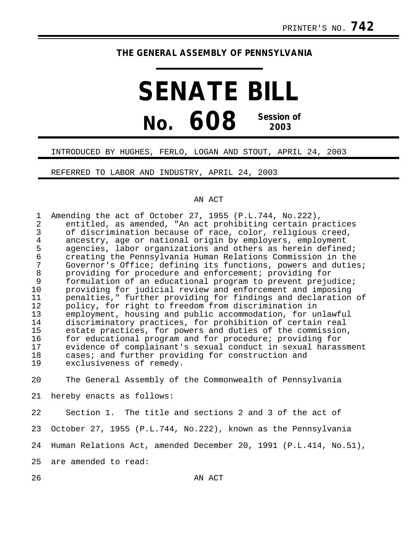## **THE GENERAL ASSEMBLY OF PENNSYLVANIA**

## **SENATE BILL No. 608 Session of 2003**

## INTRODUCED BY HUGHES, FERLO, LOGAN AND STOUT, APRIL 24, 2003

REFERRED TO LABOR AND INDUSTRY, APRIL 24, 2003

## AN ACT

| $\mathbf 1$<br>$\overline{2}$<br>3<br>$\overline{4}$<br>5<br>$\epsilon$<br>7<br>$\,8\,$<br>9<br>10<br>11<br>12<br>13<br>14<br>15<br>16<br>17<br>18<br>19 | Amending the act of October 27, 1955 (P.L.744, No.222),<br>entitled, as amended, "An act prohibiting certain practices<br>of discrimination because of race, color, religious creed,<br>ancestry, age or national origin by employers, employment<br>agencies, labor organizations and others as herein defined;<br>creating the Pennsylvania Human Relations Commission in the<br>Governor's Office; defining its functions, powers and duties;<br>providing for procedure and enforcement; providing for<br>formulation of an educational program to prevent prejudice;<br>providing for judicial review and enforcement and imposing<br>penalties," further providing for findings and declaration of<br>policy, for right to freedom from discrimination in<br>employment, housing and public accommodation, for unlawful<br>discriminatory practices, for prohibition of certain real<br>estate practices, for powers and duties of the commission,<br>for educational program and for procedure; providing for<br>evidence of complainant's sexual conduct in sexual harassment<br>cases; and further providing for construction and<br>exclusiveness of remedy. |
|----------------------------------------------------------------------------------------------------------------------------------------------------------|------------------------------------------------------------------------------------------------------------------------------------------------------------------------------------------------------------------------------------------------------------------------------------------------------------------------------------------------------------------------------------------------------------------------------------------------------------------------------------------------------------------------------------------------------------------------------------------------------------------------------------------------------------------------------------------------------------------------------------------------------------------------------------------------------------------------------------------------------------------------------------------------------------------------------------------------------------------------------------------------------------------------------------------------------------------------------------------------------------------------------------------------------------------------|
| 20                                                                                                                                                       | The General Assembly of the Commonwealth of Pennsylvania                                                                                                                                                                                                                                                                                                                                                                                                                                                                                                                                                                                                                                                                                                                                                                                                                                                                                                                                                                                                                                                                                                               |
| 21                                                                                                                                                       | hereby enacts as follows:                                                                                                                                                                                                                                                                                                                                                                                                                                                                                                                                                                                                                                                                                                                                                                                                                                                                                                                                                                                                                                                                                                                                              |
| 22                                                                                                                                                       | Section 1. The title and sections 2 and 3 of the act of                                                                                                                                                                                                                                                                                                                                                                                                                                                                                                                                                                                                                                                                                                                                                                                                                                                                                                                                                                                                                                                                                                                |
| 23                                                                                                                                                       | October 27, 1955 (P.L.744, No.222), known as the Pennsylvania                                                                                                                                                                                                                                                                                                                                                                                                                                                                                                                                                                                                                                                                                                                                                                                                                                                                                                                                                                                                                                                                                                          |
| 24                                                                                                                                                       | Human Relations Act, amended December 20, 1991 (P.L.414, No.51),                                                                                                                                                                                                                                                                                                                                                                                                                                                                                                                                                                                                                                                                                                                                                                                                                                                                                                                                                                                                                                                                                                       |
| 25                                                                                                                                                       | are amended to read:                                                                                                                                                                                                                                                                                                                                                                                                                                                                                                                                                                                                                                                                                                                                                                                                                                                                                                                                                                                                                                                                                                                                                   |

26 AN ACT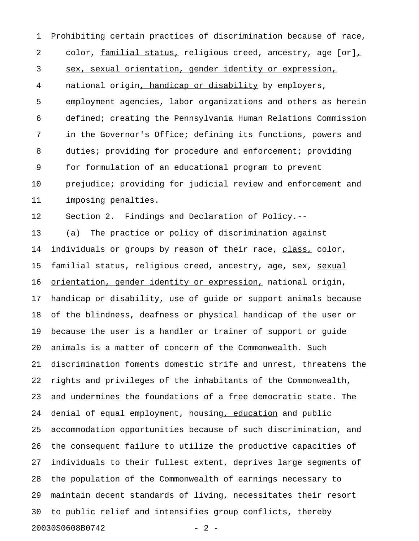1 Prohibiting certain practices of discrimination because of race, 2 color, familial status, religious creed, ancestry, age [or], 3 sex, sexual orientation, gender identity or expression, 4 national origin, handicap or disability by employers, 5 employment agencies, labor organizations and others as herein 6 defined; creating the Pennsylvania Human Relations Commission 7 in the Governor's Office; defining its functions, powers and 8 duties; providing for procedure and enforcement; providing 9 for formulation of an educational program to prevent 10 prejudice; providing for judicial review and enforcement and 11 imposing penalties.

12 Section 2. Findings and Declaration of Policy.--

13 (a) The practice or policy of discrimination against 14 individuals or groups by reason of their race, class, color, 15 familial status, religious creed, ancestry, age, sex, sexual 16 orientation, gender identity or expression, national origin, 17 handicap or disability, use of guide or support animals because 18 of the blindness, deafness or physical handicap of the user or 19 because the user is a handler or trainer of support or guide 20 animals is a matter of concern of the Commonwealth. Such 21 discrimination foments domestic strife and unrest, threatens the 22 rights and privileges of the inhabitants of the Commonwealth, 23 and undermines the foundations of a free democratic state. The 24 denial of equal employment, housing, education and public 25 accommodation opportunities because of such discrimination, and 26 the consequent failure to utilize the productive capacities of 27 individuals to their fullest extent, deprives large segments of 28 the population of the Commonwealth of earnings necessary to 29 maintain decent standards of living, necessitates their resort 30 to public relief and intensifies group conflicts, thereby 20030S0608B0742 - 2 -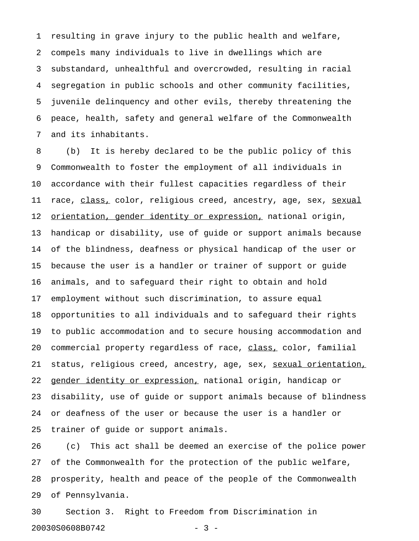1 resulting in grave injury to the public health and welfare, 2 compels many individuals to live in dwellings which are 3 substandard, unhealthful and overcrowded, resulting in racial 4 segregation in public schools and other community facilities, 5 juvenile delinquency and other evils, thereby threatening the 6 peace, health, safety and general welfare of the Commonwealth 7 and its inhabitants.

8 (b) It is hereby declared to be the public policy of this 9 Commonwealth to foster the employment of all individuals in 10 accordance with their fullest capacities regardless of their 11 race, class, color, religious creed, ancestry, age, sex, sexual 12 <u>orientation, gender identity or expression,</u> national origin, 13 handicap or disability, use of guide or support animals because 14 of the blindness, deafness or physical handicap of the user or 15 because the user is a handler or trainer of support or guide 16 animals, and to safeguard their right to obtain and hold 17 employment without such discrimination, to assure equal 18 opportunities to all individuals and to safeguard their rights 19 to public accommodation and to secure housing accommodation and 20 commercial property regardless of race, class, color, familial 21 status, religious creed, ancestry, age, sex, sexual orientation, 22 gender identity or expression, national origin, handicap or 23 disability, use of guide or support animals because of blindness 24 or deafness of the user or because the user is a handler or 25 trainer of guide or support animals.

26 (c) This act shall be deemed an exercise of the police power 27 of the Commonwealth for the protection of the public welfare, 28 prosperity, health and peace of the people of the Commonwealth 29 of Pennsylvania.

30 Section 3. Right to Freedom from Discrimination in 20030S0608B0742 - 3 -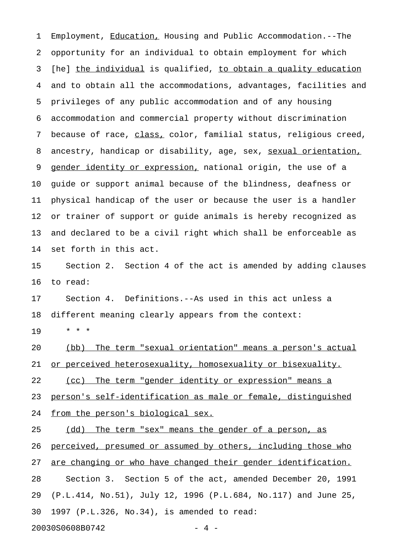1 Employment, Education, Housing and Public Accommodation.--The 2 opportunity for an individual to obtain employment for which 3 [he] the individual is qualified, to obtain a quality education 4 and to obtain all the accommodations, advantages, facilities and 5 privileges of any public accommodation and of any housing 6 accommodation and commercial property without discrimination 7 because of race, class, color, familial status, religious creed, 8 ancestry, handicap or disability, age, sex, sexual orientation, 9 gender identity or expression, national origin, the use of a 10 guide or support animal because of the blindness, deafness or 11 physical handicap of the user or because the user is a handler 12 or trainer of support or guide animals is hereby recognized as 13 and declared to be a civil right which shall be enforceable as 14 set forth in this act. 15 Section 2. Section 4 of the act is amended by adding clauses

16 to read:

17 Section 4. Definitions.--As used in this act unless a 18 different meaning clearly appears from the context:

19 \* \* \*

20 (bb) The term "sexual orientation" means a person's actual 21 or perceived heterosexuality, homosexuality or bisexuality.

22 (cc) The term "gender identity or expression" means a

23 person's self-identification as male or female, distinguished

24 from the person's biological sex.

25 (dd) The term "sex" means the gender of a person, as

26 perceived, presumed or assumed by others, including those who

27 are changing or who have changed their gender identification.

28 Section 3. Section 5 of the act, amended December 20, 1991 29 (P.L.414, No.51), July 12, 1996 (P.L.684, No.117) and June 25, 30 1997 (P.L.326, No.34), is amended to read:

20030S0608B0742 - 4 -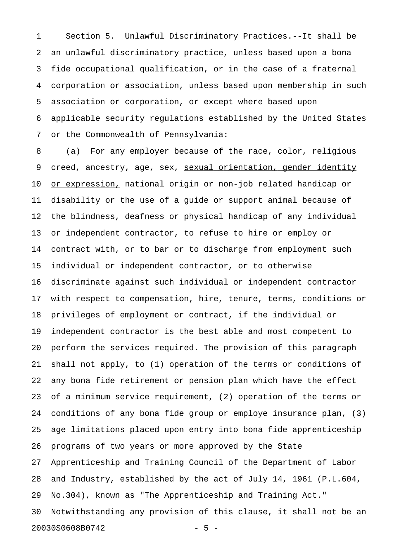1 Section 5. Unlawful Discriminatory Practices.--It shall be 2 an unlawful discriminatory practice, unless based upon a bona 3 fide occupational qualification, or in the case of a fraternal 4 corporation or association, unless based upon membership in such 5 association or corporation, or except where based upon 6 applicable security regulations established by the United States 7 or the Commonwealth of Pennsylvania:

8 (a) For any employer because of the race, color, religious 9 creed, ancestry, age, sex, <u>sexual orientation, gender identity</u> 10 <u>or expression,</u> national origin or non-job related handicap or 11 disability or the use of a guide or support animal because of 12 the blindness, deafness or physical handicap of any individual 13 or independent contractor, to refuse to hire or employ or 14 contract with, or to bar or to discharge from employment such 15 individual or independent contractor, or to otherwise 16 discriminate against such individual or independent contractor 17 with respect to compensation, hire, tenure, terms, conditions or 18 privileges of employment or contract, if the individual or 19 independent contractor is the best able and most competent to 20 perform the services required. The provision of this paragraph 21 shall not apply, to (1) operation of the terms or conditions of 22 any bona fide retirement or pension plan which have the effect 23 of a minimum service requirement, (2) operation of the terms or 24 conditions of any bona fide group or employe insurance plan, (3) 25 age limitations placed upon entry into bona fide apprenticeship 26 programs of two years or more approved by the State 27 Apprenticeship and Training Council of the Department of Labor 28 and Industry, established by the act of July 14, 1961 (P.L.604, 29 No.304), known as "The Apprenticeship and Training Act." 30 Notwithstanding any provision of this clause, it shall not be an 20030S0608B0742 - 5 -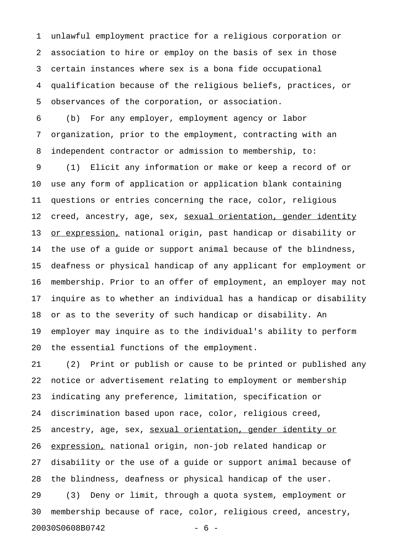1 unlawful employment practice for a religious corporation or 2 association to hire or employ on the basis of sex in those 3 certain instances where sex is a bona fide occupational 4 qualification because of the religious beliefs, practices, or 5 observances of the corporation, or association.

6 (b) For any employer, employment agency or labor 7 organization, prior to the employment, contracting with an 8 independent contractor or admission to membership, to:

9 (1) Elicit any information or make or keep a record of or 10 use any form of application or application blank containing 11 questions or entries concerning the race, color, religious 12 creed, ancestry, age, sex, sexual orientation, gender identity 13 or expression, national origin, past handicap or disability or 14 the use of a guide or support animal because of the blindness, 15 deafness or physical handicap of any applicant for employment or 16 membership. Prior to an offer of employment, an employer may not 17 inquire as to whether an individual has a handicap or disability 18 or as to the severity of such handicap or disability. An 19 employer may inquire as to the individual's ability to perform 20 the essential functions of the employment.

21 (2) Print or publish or cause to be printed or published any 22 notice or advertisement relating to employment or membership 23 indicating any preference, limitation, specification or 24 discrimination based upon race, color, religious creed, 25 ancestry, age, sex, sexual orientation, gender identity or 26 expression, national origin, non-job related handicap or 27 disability or the use of a guide or support animal because of 28 the blindness, deafness or physical handicap of the user. 29 (3) Deny or limit, through a quota system, employment or 30 membership because of race, color, religious creed, ancestry, 20030S0608B0742 - 6 -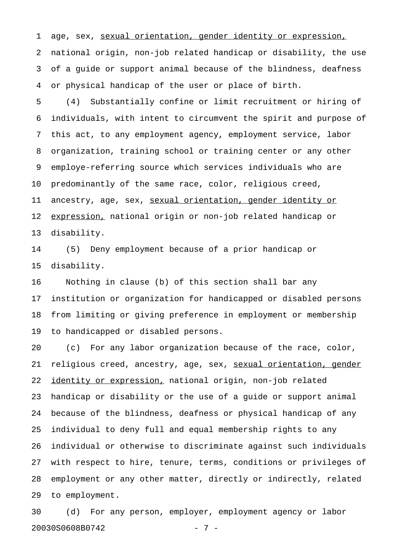1 age, sex, sexual orientation, gender identity or expression, 2 national origin, non-job related handicap or disability, the use 3 of a guide or support animal because of the blindness, deafness 4 or physical handicap of the user or place of birth.

5 (4) Substantially confine or limit recruitment or hiring of 6 individuals, with intent to circumvent the spirit and purpose of 7 this act, to any employment agency, employment service, labor 8 organization, training school or training center or any other 9 employe-referring source which services individuals who are 10 predominantly of the same race, color, religious creed, 11 ancestry, age, sex, sexual orientation, gender identity or 12 expression, national origin or non-job related handicap or 13 disability.

14 (5) Deny employment because of a prior handicap or 15 disability.

16 Nothing in clause (b) of this section shall bar any 17 institution or organization for handicapped or disabled persons 18 from limiting or giving preference in employment or membership 19 to handicapped or disabled persons.

20 (c) For any labor organization because of the race, color, 21 religious creed, ancestry, age, sex, sexual orientation, gender 22 identity or expression, national origin, non-job related 23 handicap or disability or the use of a guide or support animal 24 because of the blindness, deafness or physical handicap of any 25 individual to deny full and equal membership rights to any 26 individual or otherwise to discriminate against such individuals 27 with respect to hire, tenure, terms, conditions or privileges of 28 employment or any other matter, directly or indirectly, related 29 to employment.

30 (d) For any person, employer, employment agency or labor 20030S0608B0742 - 7 -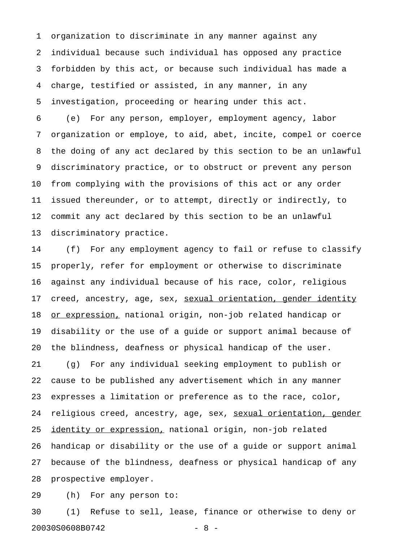1 organization to discriminate in any manner against any 2 individual because such individual has opposed any practice 3 forbidden by this act, or because such individual has made a 4 charge, testified or assisted, in any manner, in any 5 investigation, proceeding or hearing under this act.

6 (e) For any person, employer, employment agency, labor 7 organization or employe, to aid, abet, incite, compel or coerce 8 the doing of any act declared by this section to be an unlawful 9 discriminatory practice, or to obstruct or prevent any person 10 from complying with the provisions of this act or any order 11 issued thereunder, or to attempt, directly or indirectly, to 12 commit any act declared by this section to be an unlawful 13 discriminatory practice.

14 (f) For any employment agency to fail or refuse to classify 15 properly, refer for employment or otherwise to discriminate 16 against any individual because of his race, color, religious 17 creed, ancestry, age, sex, sexual orientation, gender identity 18 or expression, national origin, non-job related handicap or 19 disability or the use of a guide or support animal because of 20 the blindness, deafness or physical handicap of the user. 21 (g) For any individual seeking employment to publish or 22 cause to be published any advertisement which in any manner 23 expresses a limitation or preference as to the race, color, 24 religious creed, ancestry, age, sex, sexual orientation, gender 25 identity or expression, national origin, non-job related 26 handicap or disability or the use of a guide or support animal 27 because of the blindness, deafness or physical handicap of any 28 prospective employer.

29 (h) For any person to:

30 (1) Refuse to sell, lease, finance or otherwise to deny or 20030S0608B0742 - 8 -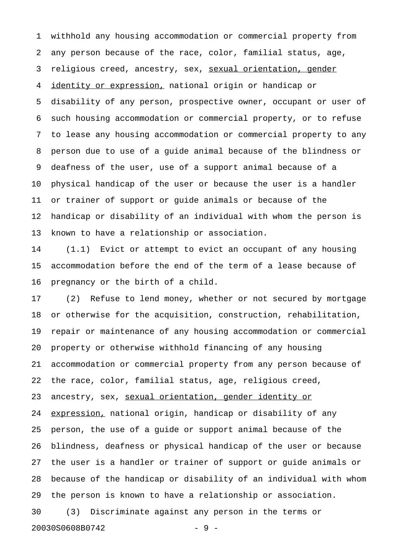1 withhold any housing accommodation or commercial property from 2 any person because of the race, color, familial status, age, 3 religious creed, ancestry, sex, sexual orientation, gender 4 identity or expression, national origin or handicap or 5 disability of any person, prospective owner, occupant or user of 6 such housing accommodation or commercial property, or to refuse 7 to lease any housing accommodation or commercial property to any 8 person due to use of a guide animal because of the blindness or 9 deafness of the user, use of a support animal because of a 10 physical handicap of the user or because the user is a handler 11 or trainer of support or guide animals or because of the 12 handicap or disability of an individual with whom the person is 13 known to have a relationship or association.

14 (1.1) Evict or attempt to evict an occupant of any housing 15 accommodation before the end of the term of a lease because of 16 pregnancy or the birth of a child.

17 (2) Refuse to lend money, whether or not secured by mortgage 18 or otherwise for the acquisition, construction, rehabilitation, 19 repair or maintenance of any housing accommodation or commercial 20 property or otherwise withhold financing of any housing 21 accommodation or commercial property from any person because of 22 the race, color, familial status, age, religious creed, 23 ancestry, sex, sexual orientation, gender identity or 24 expression, national origin, handicap or disability of any 25 person, the use of a guide or support animal because of the 26 blindness, deafness or physical handicap of the user or because 27 the user is a handler or trainer of support or guide animals or 28 because of the handicap or disability of an individual with whom 29 the person is known to have a relationship or association.

30 (3) Discriminate against any person in the terms or 20030S0608B0742 - 9 -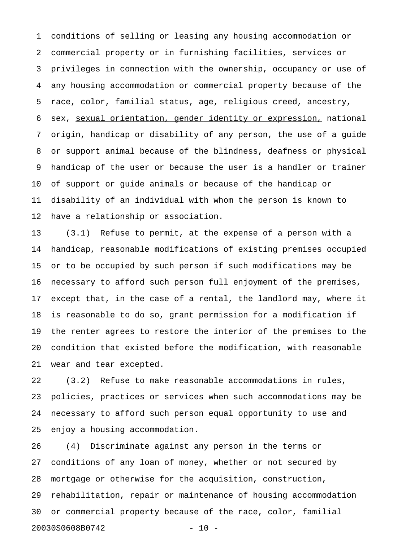1 conditions of selling or leasing any housing accommodation or 2 commercial property or in furnishing facilities, services or 3 privileges in connection with the ownership, occupancy or use of 4 any housing accommodation or commercial property because of the 5 race, color, familial status, age, religious creed, ancestry, 6 sex, sexual orientation, gender identity or expression, national 7 origin, handicap or disability of any person, the use of a guide 8 or support animal because of the blindness, deafness or physical 9 handicap of the user or because the user is a handler or trainer 10 of support or guide animals or because of the handicap or 11 disability of an individual with whom the person is known to 12 have a relationship or association.

13 (3.1) Refuse to permit, at the expense of a person with a 14 handicap, reasonable modifications of existing premises occupied 15 or to be occupied by such person if such modifications may be 16 necessary to afford such person full enjoyment of the premises, 17 except that, in the case of a rental, the landlord may, where it 18 is reasonable to do so, grant permission for a modification if 19 the renter agrees to restore the interior of the premises to the 20 condition that existed before the modification, with reasonable 21 wear and tear excepted.

22 (3.2) Refuse to make reasonable accommodations in rules, 23 policies, practices or services when such accommodations may be 24 necessary to afford such person equal opportunity to use and 25 enjoy a housing accommodation.

26 (4) Discriminate against any person in the terms or 27 conditions of any loan of money, whether or not secured by 28 mortgage or otherwise for the acquisition, construction, 29 rehabilitation, repair or maintenance of housing accommodation 30 or commercial property because of the race, color, familial 20030S0608B0742 - 10 -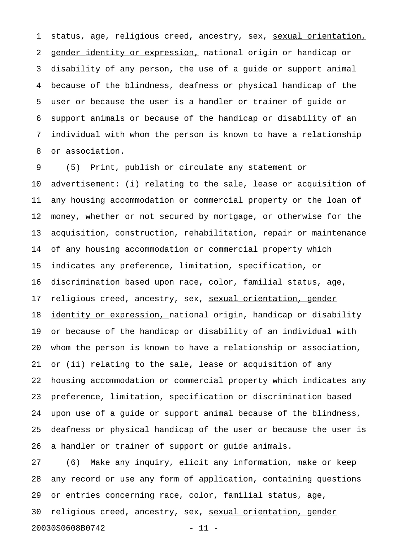1 status, age, religious creed, ancestry, sex, sexual orientation, 2 gender identity or expression, national origin or handicap or 3 disability of any person, the use of a guide or support animal 4 because of the blindness, deafness or physical handicap of the 5 user or because the user is a handler or trainer of guide or 6 support animals or because of the handicap or disability of an 7 individual with whom the person is known to have a relationship 8 or association.

9 (5) Print, publish or circulate any statement or 10 advertisement: (i) relating to the sale, lease or acquisition of 11 any housing accommodation or commercial property or the loan of 12 money, whether or not secured by mortgage, or otherwise for the 13 acquisition, construction, rehabilitation, repair or maintenance 14 of any housing accommodation or commercial property which 15 indicates any preference, limitation, specification, or 16 discrimination based upon race, color, familial status, age, 17 religious creed, ancestry, sex, sexual orientation, gender 18 identity or expression, national origin, handicap or disability 19 or because of the handicap or disability of an individual with 20 whom the person is known to have a relationship or association, 21 or (ii) relating to the sale, lease or acquisition of any 22 housing accommodation or commercial property which indicates any 23 preference, limitation, specification or discrimination based 24 upon use of a guide or support animal because of the blindness, 25 deafness or physical handicap of the user or because the user is 26 a handler or trainer of support or guide animals.

27 (6) Make any inquiry, elicit any information, make or keep 28 any record or use any form of application, containing questions 29 or entries concerning race, color, familial status, age, 30 religious creed, ancestry, sex, sexual orientation, gender 20030S0608B0742 - 11 -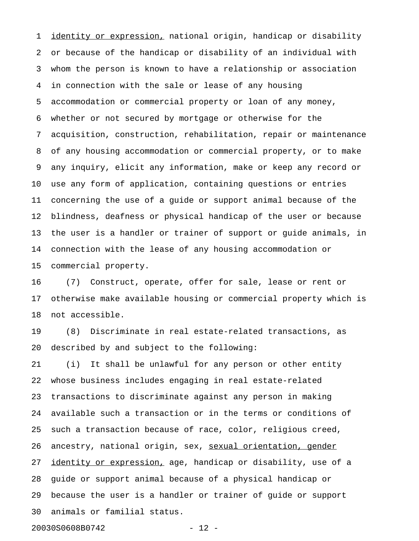1 identity or expression, national origin, handicap or disability 2 or because of the handicap or disability of an individual with 3 whom the person is known to have a relationship or association 4 in connection with the sale or lease of any housing 5 accommodation or commercial property or loan of any money, 6 whether or not secured by mortgage or otherwise for the 7 acquisition, construction, rehabilitation, repair or maintenance 8 of any housing accommodation or commercial property, or to make 9 any inquiry, elicit any information, make or keep any record or 10 use any form of application, containing questions or entries 11 concerning the use of a guide or support animal because of the 12 blindness, deafness or physical handicap of the user or because 13 the user is a handler or trainer of support or guide animals, in 14 connection with the lease of any housing accommodation or 15 commercial property.

16 (7) Construct, operate, offer for sale, lease or rent or 17 otherwise make available housing or commercial property which is 18 not accessible.

19 (8) Discriminate in real estate-related transactions, as 20 described by and subject to the following:

21 (i) It shall be unlawful for any person or other entity 22 whose business includes engaging in real estate-related 23 transactions to discriminate against any person in making 24 available such a transaction or in the terms or conditions of 25 such a transaction because of race, color, religious creed, 26 ancestry, national origin, sex, sexual orientation, gender 27 identity or expression, age, handicap or disability, use of a 28 guide or support animal because of a physical handicap or 29 because the user is a handler or trainer of guide or support 30 animals or familial status.

20030S0608B0742 - 12 -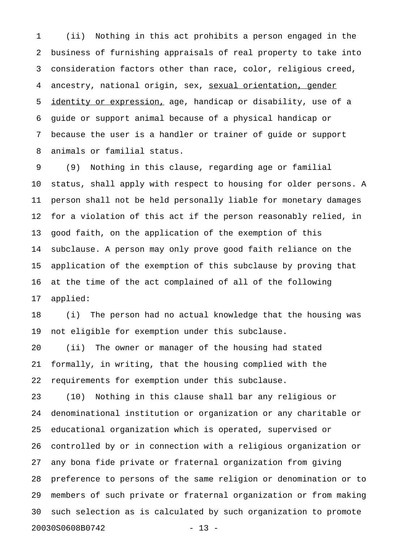1 (ii) Nothing in this act prohibits a person engaged in the 2 business of furnishing appraisals of real property to take into 3 consideration factors other than race, color, religious creed, 4 ancestry, national origin, sex, sexual orientation, gender 5 identity or expression, age, handicap or disability, use of a 6 guide or support animal because of a physical handicap or 7 because the user is a handler or trainer of guide or support 8 animals or familial status.

9 (9) Nothing in this clause, regarding age or familial 10 status, shall apply with respect to housing for older persons. A 11 person shall not be held personally liable for monetary damages 12 for a violation of this act if the person reasonably relied, in 13 good faith, on the application of the exemption of this 14 subclause. A person may only prove good faith reliance on the 15 application of the exemption of this subclause by proving that 16 at the time of the act complained of all of the following 17 applied:

18 (i) The person had no actual knowledge that the housing was 19 not eligible for exemption under this subclause.

20 (ii) The owner or manager of the housing had stated 21 formally, in writing, that the housing complied with the 22 requirements for exemption under this subclause.

23 (10) Nothing in this clause shall bar any religious or 24 denominational institution or organization or any charitable or 25 educational organization which is operated, supervised or 26 controlled by or in connection with a religious organization or 27 any bona fide private or fraternal organization from giving 28 preference to persons of the same religion or denomination or to 29 members of such private or fraternal organization or from making 30 such selection as is calculated by such organization to promote 20030S0608B0742 - 13 -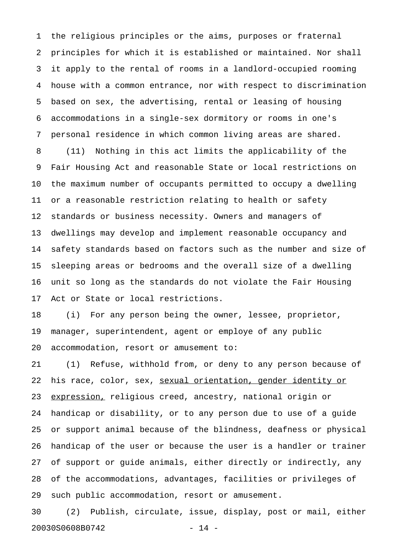1 the religious principles or the aims, purposes or fraternal 2 principles for which it is established or maintained. Nor shall 3 it apply to the rental of rooms in a landlord-occupied rooming 4 house with a common entrance, nor with respect to discrimination 5 based on sex, the advertising, rental or leasing of housing 6 accommodations in a single-sex dormitory or rooms in one's 7 personal residence in which common living areas are shared. 8 (11) Nothing in this act limits the applicability of the 9 Fair Housing Act and reasonable State or local restrictions on 10 the maximum number of occupants permitted to occupy a dwelling 11 or a reasonable restriction relating to health or safety 12 standards or business necessity. Owners and managers of 13 dwellings may develop and implement reasonable occupancy and 14 safety standards based on factors such as the number and size of 15 sleeping areas or bedrooms and the overall size of a dwelling 16 unit so long as the standards do not violate the Fair Housing 17 Act or State or local restrictions.

18 (i) For any person being the owner, lessee, proprietor, 19 manager, superintendent, agent or employe of any public 20 accommodation, resort or amusement to:

21 (1) Refuse, withhold from, or deny to any person because of 22 his race, color, sex, sexual orientation, gender identity or 23 expression, religious creed, ancestry, national origin or 24 handicap or disability, or to any person due to use of a guide 25 or support animal because of the blindness, deafness or physical 26 handicap of the user or because the user is a handler or trainer 27 of support or guide animals, either directly or indirectly, any 28 of the accommodations, advantages, facilities or privileges of 29 such public accommodation, resort or amusement.

30 (2) Publish, circulate, issue, display, post or mail, either 20030S0608B0742 - 14 -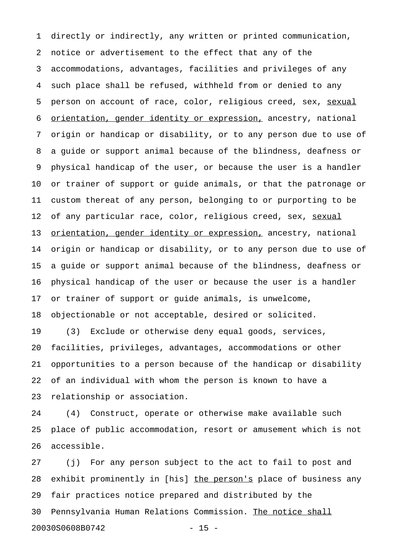1 directly or indirectly, any written or printed communication, 2 notice or advertisement to the effect that any of the 3 accommodations, advantages, facilities and privileges of any 4 such place shall be refused, withheld from or denied to any 5 person on account of race, color, religious creed, sex, sexual 6 orientation, gender identity or expression, ancestry, national 7 origin or handicap or disability, or to any person due to use of 8 a guide or support animal because of the blindness, deafness or 9 physical handicap of the user, or because the user is a handler 10 or trainer of support or guide animals, or that the patronage or 11 custom thereat of any person, belonging to or purporting to be 12 of any particular race, color, religious creed, sex, sexual 13 orientation, gender identity or expression, ancestry, national 14 origin or handicap or disability, or to any person due to use of 15 a guide or support animal because of the blindness, deafness or 16 physical handicap of the user or because the user is a handler 17 or trainer of support or guide animals, is unwelcome, 18 objectionable or not acceptable, desired or solicited. 19 (3) Exclude or otherwise deny equal goods, services, 20 facilities, privileges, advantages, accommodations or other 21 opportunities to a person because of the handicap or disability 22 of an individual with whom the person is known to have a

23 relationship or association.

24 (4) Construct, operate or otherwise make available such 25 place of public accommodation, resort or amusement which is not 26 accessible.

27 (j) For any person subject to the act to fail to post and 28 exhibit prominently in [his] the person's place of business any 29 fair practices notice prepared and distributed by the 30 Pennsylvania Human Relations Commission. The notice shall \_\_\_\_\_\_\_\_\_\_\_\_\_\_\_\_ 20030S0608B0742 - 15 -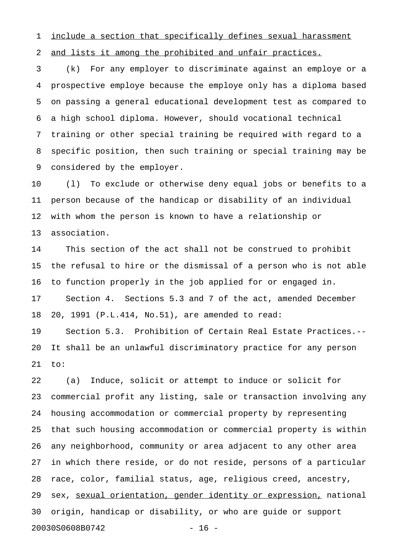1 include a section that specifically defines sexual harassment

2 and lists it among the prohibited and unfair practices.

3 (k) For any employer to discriminate against an employe or a 4 prospective employe because the employe only has a diploma based 5 on passing a general educational development test as compared to 6 a high school diploma. However, should vocational technical 7 training or other special training be required with regard to a 8 specific position, then such training or special training may be 9 considered by the employer.

10 (l) To exclude or otherwise deny equal jobs or benefits to a 11 person because of the handicap or disability of an individual 12 with whom the person is known to have a relationship or 13 association.

14 This section of the act shall not be construed to prohibit 15 the refusal to hire or the dismissal of a person who is not able 16 to function properly in the job applied for or engaged in. 17 Section 4. Sections 5.3 and 7 of the act, amended December 18 20, 1991 (P.L.414, No.51), are amended to read: 19 Section 5.3. Prohibition of Certain Real Estate Practices.-- 20 It shall be an unlawful discriminatory practice for any person 21 to:

22 (a) Induce, solicit or attempt to induce or solicit for 23 commercial profit any listing, sale or transaction involving any 24 housing accommodation or commercial property by representing 25 that such housing accommodation or commercial property is within 26 any neighborhood, community or area adjacent to any other area 27 in which there reside, or do not reside, persons of a particular 28 race, color, familial status, age, religious creed, ancestry, 29 sex, sexual orientation, gender identity or expression, national 30 origin, handicap or disability, or who are guide or support 20030S0608B0742 - 16 -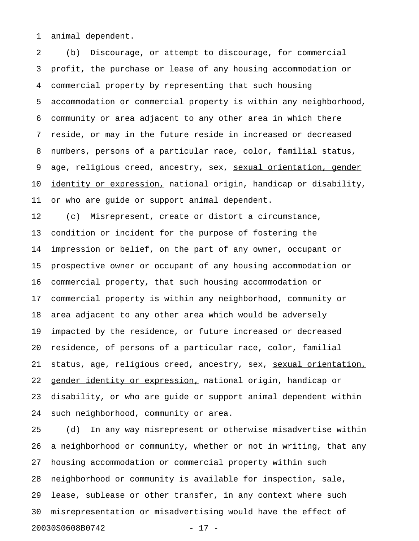1 animal dependent.

2 (b) Discourage, or attempt to discourage, for commercial 3 profit, the purchase or lease of any housing accommodation or 4 commercial property by representing that such housing 5 accommodation or commercial property is within any neighborhood, 6 community or area adjacent to any other area in which there 7 reside, or may in the future reside in increased or decreased 8 numbers, persons of a particular race, color, familial status, 9 age, religious creed, ancestry, sex, <u>sexual orientation, gender</u> 10 identity or expression, national origin, handicap or disability, 11 or who are guide or support animal dependent.

12 (c) Misrepresent, create or distort a circumstance, 13 condition or incident for the purpose of fostering the 14 impression or belief, on the part of any owner, occupant or 15 prospective owner or occupant of any housing accommodation or 16 commercial property, that such housing accommodation or 17 commercial property is within any neighborhood, community or 18 area adjacent to any other area which would be adversely 19 impacted by the residence, or future increased or decreased 20 residence, of persons of a particular race, color, familial 21 status, age, religious creed, ancestry, sex, sexual orientation, 22 gender identity or expression, national origin, handicap or 23 disability, or who are guide or support animal dependent within 24 such neighborhood, community or area.

25 (d) In any way misrepresent or otherwise misadvertise within 26 a neighborhood or community, whether or not in writing, that any 27 housing accommodation or commercial property within such 28 neighborhood or community is available for inspection, sale, 29 lease, sublease or other transfer, in any context where such 30 misrepresentation or misadvertising would have the effect of 20030S0608B0742 - 17 -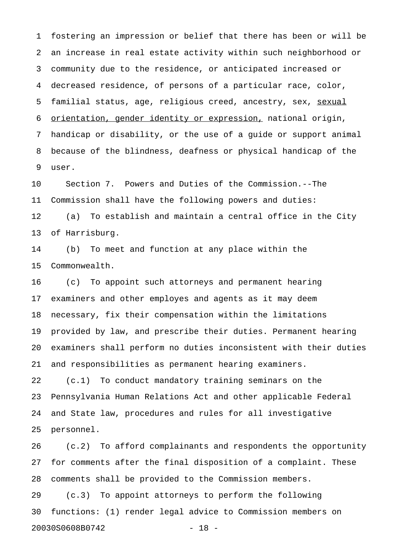1 fostering an impression or belief that there has been or will be 2 an increase in real estate activity within such neighborhood or 3 community due to the residence, or anticipated increased or 4 decreased residence, of persons of a particular race, color, 5 familial status, age, religious creed, ancestry, sex, sexual 6 orientation, gender identity or expression, national origin, 7 handicap or disability, or the use of a guide or support animal 8 because of the blindness, deafness or physical handicap of the 9 user.

10 Section 7. Powers and Duties of the Commission.--The 11 Commission shall have the following powers and duties: 12 (a) To establish and maintain a central office in the City 13 of Harrisburg.

14 (b) To meet and function at any place within the 15 Commonwealth.

16 (c) To appoint such attorneys and permanent hearing 17 examiners and other employes and agents as it may deem 18 necessary, fix their compensation within the limitations 19 provided by law, and prescribe their duties. Permanent hearing 20 examiners shall perform no duties inconsistent with their duties 21 and responsibilities as permanent hearing examiners. 22 (c.1) To conduct mandatory training seminars on the 23 Pennsylvania Human Relations Act and other applicable Federal 24 and State law, procedures and rules for all investigative

25 personnel.

26 (c.2) To afford complainants and respondents the opportunity 27 for comments after the final disposition of a complaint. These 28 comments shall be provided to the Commission members.

29 (c.3) To appoint attorneys to perform the following 30 functions: (1) render legal advice to Commission members on 20030S0608B0742 - 18 -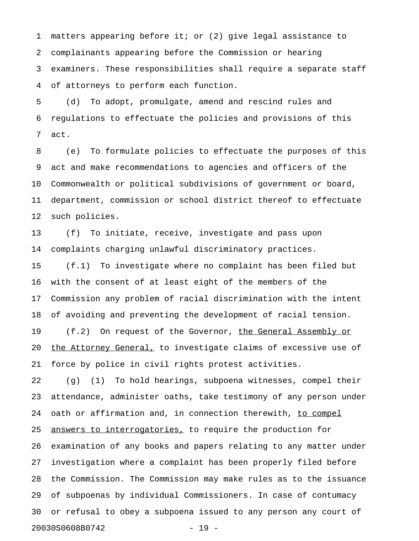1 matters appearing before it; or (2) give legal assistance to 2 complainants appearing before the Commission or hearing 3 examiners. These responsibilities shall require a separate staff 4 of attorneys to perform each function.

5 (d) To adopt, promulgate, amend and rescind rules and 6 regulations to effectuate the policies and provisions of this 7 act.

8 (e) To formulate policies to effectuate the purposes of this 9 act and make recommendations to agencies and officers of the 10 Commonwealth or political subdivisions of government or board, 11 department, commission or school district thereof to effectuate 12 such policies.

13 (f) To initiate, receive, investigate and pass upon 14 complaints charging unlawful discriminatory practices.

15 (f.1) To investigate where no complaint has been filed but 16 with the consent of at least eight of the members of the 17 Commission any problem of racial discrimination with the intent 18 of avoiding and preventing the development of racial tension. 19 (f.2) On request of the Governor, the General Assembly or 20 the Attorney General, to investigate claims of excessive use of 21 force by police in civil rights protest activities.

22 (g) (1) To hold hearings, subpoena witnesses, compel their 23 attendance, administer oaths, take testimony of any person under 24 oath or affirmation and, in connection therewith, to compel 25 <u>answers to interrogatories</u>, to require the production for 26 examination of any books and papers relating to any matter under 27 investigation where a complaint has been properly filed before 28 the Commission. The Commission may make rules as to the issuance 29 of subpoenas by individual Commissioners. In case of contumacy 30 or refusal to obey a subpoena issued to any person any court of 20030S0608B0742 - 19 -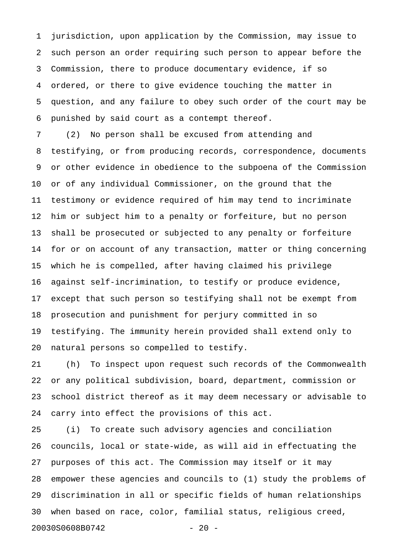1 jurisdiction, upon application by the Commission, may issue to 2 such person an order requiring such person to appear before the 3 Commission, there to produce documentary evidence, if so 4 ordered, or there to give evidence touching the matter in 5 question, and any failure to obey such order of the court may be 6 punished by said court as a contempt thereof.

7 (2) No person shall be excused from attending and 8 testifying, or from producing records, correspondence, documents 9 or other evidence in obedience to the subpoena of the Commission 10 or of any individual Commissioner, on the ground that the 11 testimony or evidence required of him may tend to incriminate 12 him or subject him to a penalty or forfeiture, but no person 13 shall be prosecuted or subjected to any penalty or forfeiture 14 for or on account of any transaction, matter or thing concerning 15 which he is compelled, after having claimed his privilege 16 against self-incrimination, to testify or produce evidence, 17 except that such person so testifying shall not be exempt from 18 prosecution and punishment for perjury committed in so 19 testifying. The immunity herein provided shall extend only to 20 natural persons so compelled to testify.

21 (h) To inspect upon request such records of the Commonwealth 22 or any political subdivision, board, department, commission or 23 school district thereof as it may deem necessary or advisable to 24 carry into effect the provisions of this act.

25 (i) To create such advisory agencies and conciliation 26 councils, local or state-wide, as will aid in effectuating the 27 purposes of this act. The Commission may itself or it may 28 empower these agencies and councils to (1) study the problems of 29 discrimination in all or specific fields of human relationships 30 when based on race, color, familial status, religious creed, 20030S0608B0742 - 20 -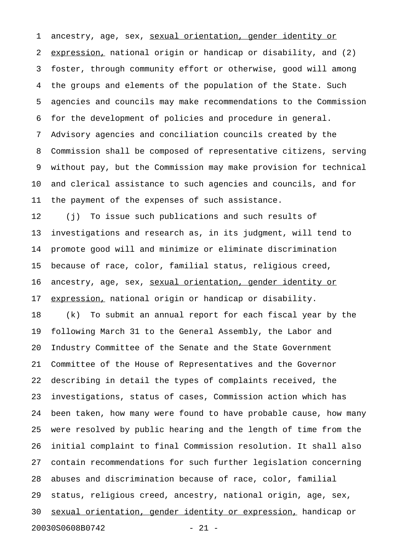1 ancestry, age, sex, sexual orientation, gender identity or 2 expression, national origin or handicap or disability, and (2) 3 foster, through community effort or otherwise, good will among 4 the groups and elements of the population of the State. Such 5 agencies and councils may make recommendations to the Commission 6 for the development of policies and procedure in general. 7 Advisory agencies and conciliation councils created by the 8 Commission shall be composed of representative citizens, serving 9 without pay, but the Commission may make provision for technical 10 and clerical assistance to such agencies and councils, and for 11 the payment of the expenses of such assistance.

12 (j) To issue such publications and such results of 13 investigations and research as, in its judgment, will tend to 14 promote good will and minimize or eliminate discrimination 15 because of race, color, familial status, religious creed, 16 ancestry, age, sex, sexual orientation, gender identity or 17 expression, national origin or handicap or disability.

18 (k) To submit an annual report for each fiscal year by the 19 following March 31 to the General Assembly, the Labor and 20 Industry Committee of the Senate and the State Government 21 Committee of the House of Representatives and the Governor 22 describing in detail the types of complaints received, the 23 investigations, status of cases, Commission action which has 24 been taken, how many were found to have probable cause, how many 25 were resolved by public hearing and the length of time from the 26 initial complaint to final Commission resolution. It shall also 27 contain recommendations for such further legislation concerning 28 abuses and discrimination because of race, color, familial 29 status, religious creed, ancestry, national origin, age, sex, 30 sexual orientation, gender identity or expression, handicap or 20030S0608B0742 - 21 -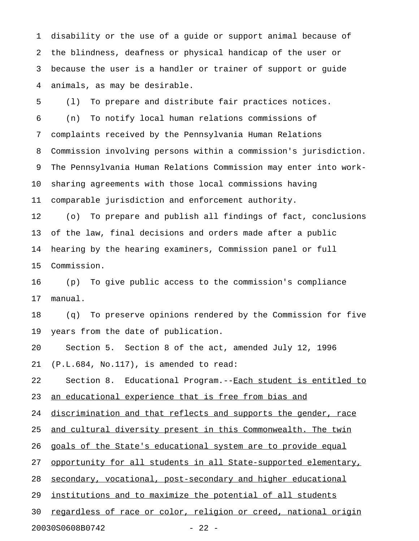1 disability or the use of a guide or support animal because of 2 the blindness, deafness or physical handicap of the user or 3 because the user is a handler or trainer of support or guide 4 animals, as may be desirable.

5 (l) To prepare and distribute fair practices notices. 6 (n) To notify local human relations commissions of 7 complaints received by the Pennsylvania Human Relations 8 Commission involving persons within a commission's jurisdiction. 9 The Pennsylvania Human Relations Commission may enter into work-10 sharing agreements with those local commissions having 11 comparable jurisdiction and enforcement authority.

12 (o) To prepare and publish all findings of fact, conclusions 13 of the law, final decisions and orders made after a public 14 hearing by the hearing examiners, Commission panel or full 15 Commission.

16 (p) To give public access to the commission's compliance 17 manual.

18 (q) To preserve opinions rendered by the Commission for five 19 years from the date of publication.

20 Section 5. Section 8 of the act, amended July 12, 1996 21 (P.L.684, No.117), is amended to read:

22 Section 8. Educational Program.--Each student is entitled to 23 an educational experience that is free from bias and

24 discrimination and that reflects and supports the gender, race

25 and cultural diversity present in this Commonwealth. The twin

26 goals of the State's educational system are to provide equal

27 opportunity for all students in all State-supported elementary,

28 secondary, vocational, post-secondary and higher educational

29 institutions and to maximize the potential of all students

30 regardless of race or color, religion or creed, national origin

20030S0608B0742 - 22 -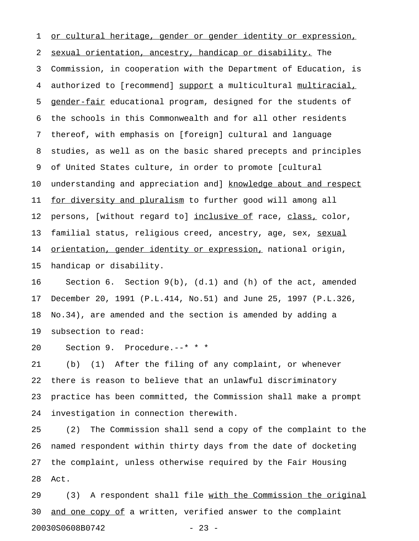1 or cultural heritage, gender or gender identity or expression, 2 sexual orientation, ancestry, handicap or disability. The 3 Commission, in cooperation with the Department of Education, is 4 authorized to [recommend] support a multicultural multiracial, 5 gender-fair educational program, designed for the students of 6 the schools in this Commonwealth and for all other residents 7 thereof, with emphasis on [foreign] cultural and language 8 studies, as well as on the basic shared precepts and principles 9 of United States culture, in order to promote [cultural 10 understanding and appreciation and] knowledge about and respect 11 for diversity and pluralism to further good will among all 12 persons, [without regard to] inclusive of race, class, color, 13 familial status, religious creed, ancestry, age, sex, sexual 14 orientation, gender identity or expression, national origin, 15 handicap or disability.

16 Section 6. Section 9(b), (d.1) and (h) of the act, amended 17 December 20, 1991 (P.L.414, No.51) and June 25, 1997 (P.L.326, 18 No.34), are amended and the section is amended by adding a 19 subsection to read:

20 Section 9. Procedure.--\* \* \*

21 (b) (1) After the filing of any complaint, or whenever 22 there is reason to believe that an unlawful discriminatory 23 practice has been committed, the Commission shall make a prompt 24 investigation in connection therewith.

25 (2) The Commission shall send a copy of the complaint to the 26 named respondent within thirty days from the date of docketing 27 the complaint, unless otherwise required by the Fair Housing 28 Act.

29 (3) A respondent shall file with the Commission the original 30 and one copy of a written, verified answer to the complaint 20030S0608B0742 - 23 -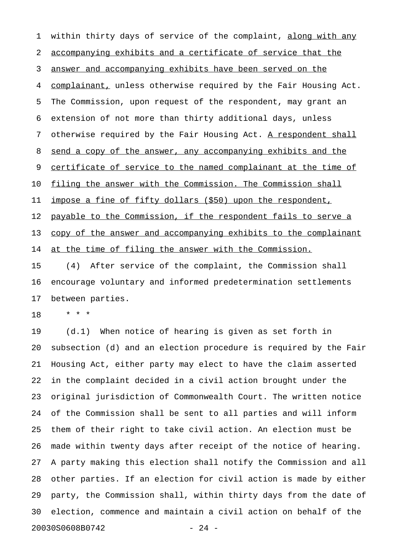1 within thirty days of service of the complaint, along with any 2 accompanying exhibits and a certificate of service that the 3 answer and accompanying exhibits have been served on the 4 complainant, unless otherwise required by the Fair Housing Act. 5 The Commission, upon request of the respondent, may grant an 6 extension of not more than thirty additional days, unless 7 otherwise required by the Fair Housing Act. A respondent shall 8 send a copy of the answer, any accompanying exhibits and the 9 certificate of service to the named complainant at the time of 10 filing the answer with the Commission. The Commission shall 11 impose a fine of fifty dollars (\$50) upon the respondent, 12 payable to the Commission, if the respondent fails to serve a 13 copy of the answer and accompanying exhibits to the complainant 14 at the time of filing the answer with the Commission. 15 (4) After service of the complaint, the Commission shall

16 encourage voluntary and informed predetermination settlements 17 between parties.

18 \* \* \*

19 (d.1) When notice of hearing is given as set forth in 20 subsection (d) and an election procedure is required by the Fair 21 Housing Act, either party may elect to have the claim asserted 22 in the complaint decided in a civil action brought under the 23 original jurisdiction of Commonwealth Court. The written notice 24 of the Commission shall be sent to all parties and will inform 25 them of their right to take civil action. An election must be 26 made within twenty days after receipt of the notice of hearing. 27 A party making this election shall notify the Commission and all 28 other parties. If an election for civil action is made by either 29 party, the Commission shall, within thirty days from the date of 30 election, commence and maintain a civil action on behalf of the 20030S0608B0742 - 24 -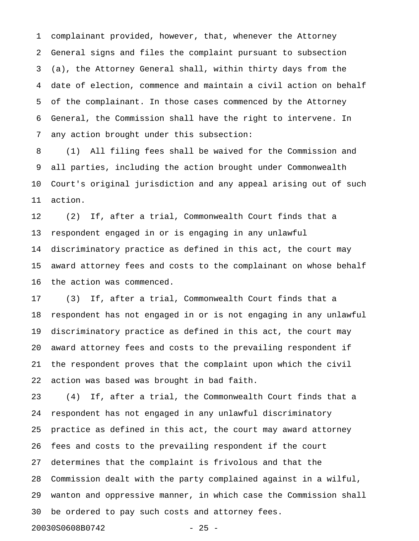1 complainant provided, however, that, whenever the Attorney 2 General signs and files the complaint pursuant to subsection 3 (a), the Attorney General shall, within thirty days from the 4 date of election, commence and maintain a civil action on behalf 5 of the complainant. In those cases commenced by the Attorney 6 General, the Commission shall have the right to intervene. In 7 any action brought under this subsection:

8 (1) All filing fees shall be waived for the Commission and 9 all parties, including the action brought under Commonwealth 10 Court's original jurisdiction and any appeal arising out of such 11 action.

12 (2) If, after a trial, Commonwealth Court finds that a 13 respondent engaged in or is engaging in any unlawful 14 discriminatory practice as defined in this act, the court may 15 award attorney fees and costs to the complainant on whose behalf 16 the action was commenced.

17 (3) If, after a trial, Commonwealth Court finds that a 18 respondent has not engaged in or is not engaging in any unlawful 19 discriminatory practice as defined in this act, the court may 20 award attorney fees and costs to the prevailing respondent if 21 the respondent proves that the complaint upon which the civil 22 action was based was brought in bad faith.

23 (4) If, after a trial, the Commonwealth Court finds that a 24 respondent has not engaged in any unlawful discriminatory 25 practice as defined in this act, the court may award attorney 26 fees and costs to the prevailing respondent if the court 27 determines that the complaint is frivolous and that the 28 Commission dealt with the party complained against in a wilful, 29 wanton and oppressive manner, in which case the Commission shall 30 be ordered to pay such costs and attorney fees. 20030S0608B0742 - 25 -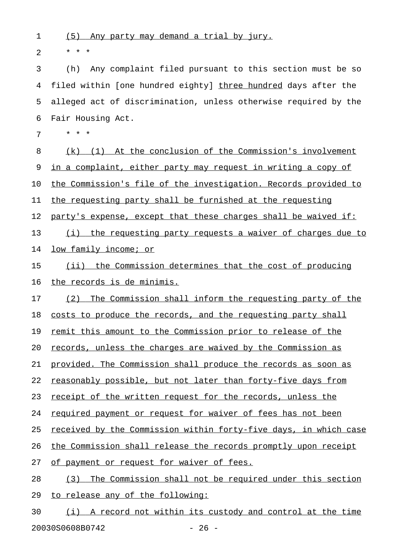1 (5) Any party may demand a trial by jury.

2  $* * * *$ 

3 (h) Any complaint filed pursuant to this section must be so 4 filed within [one hundred eighty] three hundred days after the 5 alleged act of discrimination, unless otherwise required by the 6 Fair Housing Act.

7 \* \* \*

8 (k) (1) At the conclusion of the Commission's involvement 9 in a complaint, either party may request in writing a copy of 10 the Commission's file of the investigation. Records provided to 11 the requesting party shall be furnished at the requesting 12 party's expense, except that these charges shall be waived if: 13 (i) the requesting party requests a waiver of charges due to 14 low family income; or 15 (ii) the Commission determines that the cost of producing

16 the records is de minimis.

17 (2) The Commission shall inform the requesting party of the

18 costs to produce the records, and the requesting party shall

19 remit this amount to the Commission prior to release of the

20 records, unless the charges are waived by the Commission as

21 provided. The Commission shall produce the records as soon as

22 reasonably possible, but not later than forty-five days from

23 receipt of the written request for the records, unless the

24 required payment or request for waiver of fees has not been

25 received by the Commission within forty-five days, in which case

26 the Commission shall release the records promptly upon receipt

27 of payment or request for waiver of fees.

28 (3) The Commission shall not be required under this section 29 to release any of the following:

30 (i) A record not within its custody and control at the time 20030S0608B0742 - 26 -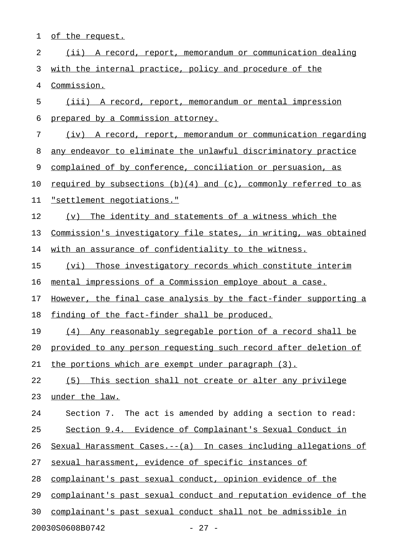1 of the request.

| 2  | (ii) A record, report, memorandum or communication dealing           |
|----|----------------------------------------------------------------------|
| 3  | with the internal practice, policy and procedure of the              |
| 4  | Commission.                                                          |
| 5  | (iii) A record, report, memorandum or mental impression              |
| 6  | prepared by a Commission attorney.                                   |
| 7  | (iv) A record, report, memorandum or communication regarding         |
| 8  | any endeavor to eliminate the unlawful discriminatory practice       |
| 9  | complained of by conference, conciliation or persuasion, as          |
| 10 | required by subsections $(b)(4)$ and $(c)$ , commonly referred to as |
| 11 | "settlement negotiations."                                           |
| 12 | (v) The identity and statements of a witness which the               |
| 13 | Commission's investigatory file states, in writing, was obtained     |
| 14 | with an assurance of confidentiality to the witness.                 |
| 15 | Those investigatory records which constitute interim<br>(vi)         |
| 16 | mental impressions of a Commission employe about a case.             |
| 17 | However, the final case analysis by the fact-finder supporting a     |
| 18 | finding of the fact-finder shall be produced.                        |
| 19 | (4) Any reasonably segregable portion of a record shall be           |
| 20 | provided to any person requesting such record after deletion of      |
| 21 | the portions which are exempt under paragraph (3).                   |
| 22 | (5) This section shall not create or alter any privilege             |
| 23 | under the law.                                                       |
| 24 | Section 7. The act is amended by adding a section to read:           |
| 25 | Section 9.4. Evidence of Complainant's Sexual Conduct in             |
| 26 | Sexual Harassment Cases.--(a) In cases including allegations of      |
| 27 | sexual harassment, evidence of specific instances of                 |
| 28 | complainant's past sexual conduct, opinion evidence of the           |
| 29 | complainant's past sexual conduct and reputation evidence of the     |
| 30 | complainant's past sexual conduct shall not be admissible in         |
|    |                                                                      |

20030S0608B0742 - 27 -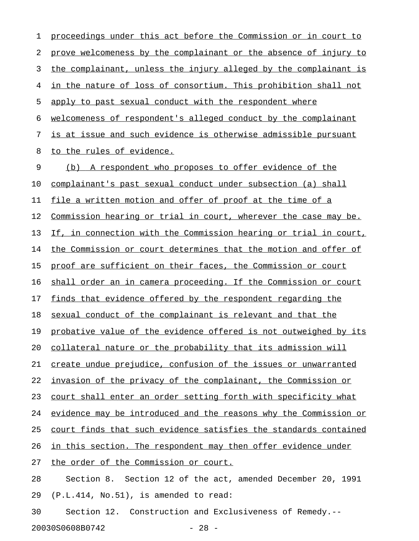1 proceedings under this act before the Commission or in court to 2 prove welcomeness by the complainant or the absence of injury to 3 the complainant, unless the injury alleged by the complainant is 4 in the nature of loss of consortium. This prohibition shall not 5 apply to past sexual conduct with the respondent where 6 welcomeness of respondent's alleged conduct by the complainant 7 is at issue and such evidence is otherwise admissible pursuant 8 to the rules of evidence. 9 (b) A respondent who proposes to offer evidence of the 10 complainant's past sexual conduct under subsection (a) shall 11 file a written motion and offer of proof at the time of a 12 Commission hearing or trial in court, wherever the case may be. 13 If, in connection with the Commission hearing or trial in court, 14 the Commission or court determines that the motion and offer of 15 proof are sufficient on their faces, the Commission or court 16 shall order an in camera proceeding. If the Commission or court 17 finds that evidence offered by the respondent regarding the 18 sexual conduct of the complainant is relevant and that the 19 probative value of the evidence offered is not outweighed by its 20 collateral nature or the probability that its admission will 21 create undue prejudice, confusion of the issues or unwarranted 22 invasion of the privacy of the complainant, the Commission or 23 court shall enter an order setting forth with specificity what 24 evidence may be introduced and the reasons why the Commission or 25 court finds that such evidence satisfies the standards contained 26 in this section. The respondent may then offer evidence under 27 the order of the Commission or court. 28 Section 8. Section 12 of the act, amended December 20, 1991 29 (P.L.414, No.51), is amended to read: 30 Section 12. Construction and Exclusiveness of Remedy.--

20030S0608B0742 - 28 -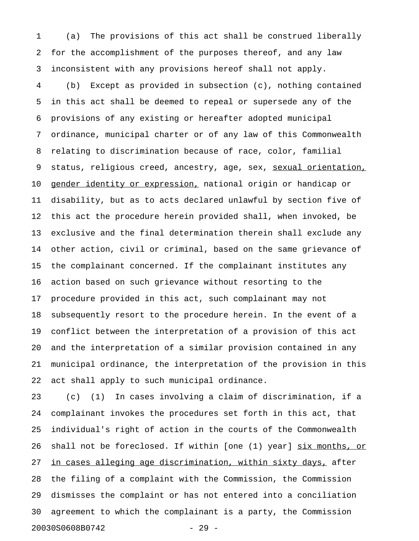1 (a) The provisions of this act shall be construed liberally 2 for the accomplishment of the purposes thereof, and any law 3 inconsistent with any provisions hereof shall not apply.

4 (b) Except as provided in subsection (c), nothing contained 5 in this act shall be deemed to repeal or supersede any of the 6 provisions of any existing or hereafter adopted municipal 7 ordinance, municipal charter or of any law of this Commonwealth 8 relating to discrimination because of race, color, familial 9 status, religious creed, ancestry, age, sex, sexual orientation, 10 gender identity or expression, national origin or handicap or 11 disability, but as to acts declared unlawful by section five of 12 this act the procedure herein provided shall, when invoked, be 13 exclusive and the final determination therein shall exclude any 14 other action, civil or criminal, based on the same grievance of 15 the complainant concerned. If the complainant institutes any 16 action based on such grievance without resorting to the 17 procedure provided in this act, such complainant may not 18 subsequently resort to the procedure herein. In the event of a 19 conflict between the interpretation of a provision of this act 20 and the interpretation of a similar provision contained in any 21 municipal ordinance, the interpretation of the provision in this 22 act shall apply to such municipal ordinance.

23 (c) (1) In cases involving a claim of discrimination, if a 24 complainant invokes the procedures set forth in this act, that 25 individual's right of action in the courts of the Commonwealth 26 shall not be foreclosed. If within [one (1) year] six months, or 27 in cases alleging age discrimination, within sixty days, after 28 the filing of a complaint with the Commission, the Commission 29 dismisses the complaint or has not entered into a conciliation 30 agreement to which the complainant is a party, the Commission 20030S0608B0742 - 29 -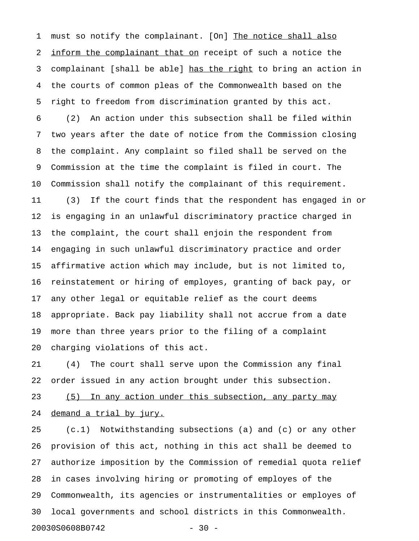1 must so notify the complainant. [On] The notice shall also 2 inform the complainant that on receipt of such a notice the 3 complainant [shall be able] has the right to bring an action in 4 the courts of common pleas of the Commonwealth based on the 5 right to freedom from discrimination granted by this act.

6 (2) An action under this subsection shall be filed within 7 two years after the date of notice from the Commission closing 8 the complaint. Any complaint so filed shall be served on the 9 Commission at the time the complaint is filed in court. The 10 Commission shall notify the complainant of this requirement. 11 (3) If the court finds that the respondent has engaged in or 12 is engaging in an unlawful discriminatory practice charged in 13 the complaint, the court shall enjoin the respondent from 14 engaging in such unlawful discriminatory practice and order 15 affirmative action which may include, but is not limited to, 16 reinstatement or hiring of employes, granting of back pay, or 17 any other legal or equitable relief as the court deems 18 appropriate. Back pay liability shall not accrue from a date 19 more than three years prior to the filing of a complaint 20 charging violations of this act.

21 (4) The court shall serve upon the Commission any final 22 order issued in any action brought under this subsection.

23 (5) In any action under this subsection, any party may 24 demand a trial by jury.

25 (c.1) Notwithstanding subsections (a) and (c) or any other 26 provision of this act, nothing in this act shall be deemed to 27 authorize imposition by the Commission of remedial quota relief 28 in cases involving hiring or promoting of employes of the 29 Commonwealth, its agencies or instrumentalities or employes of 30 local governments and school districts in this Commonwealth. 20030S0608B0742 - 30 -